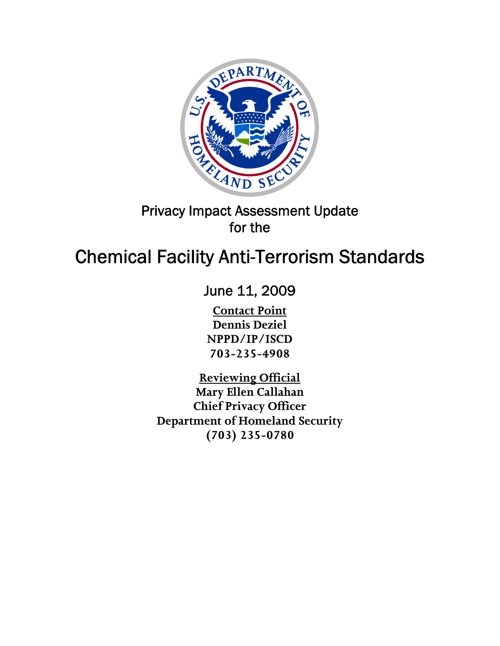

# Privacy Impact Assessment Update for the

# Chemical Facility Anti-Terrorism Standards

June 11, 2009

**Contact Point Dennis Deziel NPPD/IP/ISCD 703-235-4908** 

**Reviewing Official Mary Ellen Callahan Chief Privacy Officer Department of Homeland Security (703) 235-0780**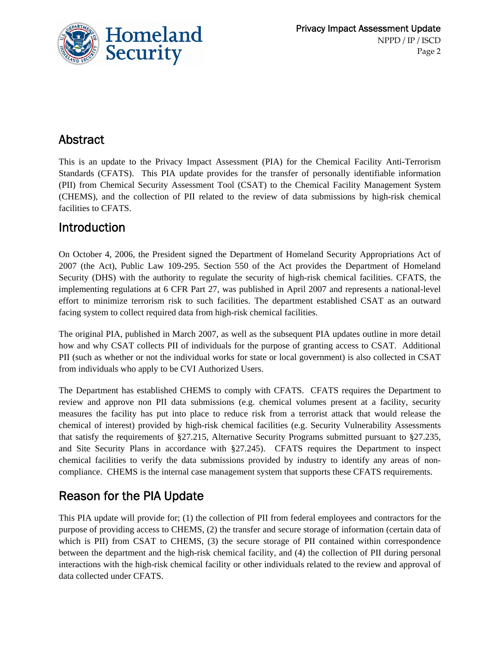

# Abstract

This is an update to the Privacy Impact Assessment (PIA) for the Chemical Facility Anti-Terrorism Standards (CFATS). This PIA update provides for the transfer of personally identifiable information (PII) from Chemical Security Assessment Tool (CSAT) to the Chemical Facility Management System (CHEMS), and the collection of PII related to the review of data submissions by high-risk chemical facilities to CFATS.

### Introduction

On October 4, 2006, the President signed the Department of Homeland Security Appropriations Act of 2007 (the Act), Public Law 109-295. Section 550 of the Act provides the Department of Homeland Security (DHS) with the authority to regulate the security of high-risk chemical facilities. CFATS, the implementing regulations at 6 CFR Part 27, was published in April 2007 and represents a national-level effort to minimize terrorism risk to such facilities. The department established CSAT as an outward facing system to collect required data from high-risk chemical facilities.

The original PIA, published in March 2007, as well as the subsequent PIA updates outline in more detail how and why CSAT collects PII of individuals for the purpose of granting access to CSAT. Additional PII (such as whether or not the individual works for state or local government) is also collected in CSAT from individuals who apply to be CVI Authorized Users.

The Department has established CHEMS to comply with CFATS. CFATS requires the Department to review and approve non PII data submissions (e.g. chemical volumes present at a facility, security measures the facility has put into place to reduce risk from a terrorist attack that would release the chemical of interest) provided by high-risk chemical facilities (e.g. Security Vulnerability Assessments that satisfy the requirements of §27.215, Alternative Security Programs submitted pursuant to §27.235, and Site Security Plans in accordance with §27.245). CFATS requires the Department to inspect chemical facilities to verify the data submissions provided by industry to identify any areas of noncompliance. CHEMS is the internal case management system that supports these CFATS requirements.

# Reason for the PIA Update

This PIA update will provide for; (1) the collection of PII from federal employees and contractors for the purpose of providing access to CHEMS, (2) the transfer and secure storage of information (certain data of which is PII) from CSAT to CHEMS, (3) the secure storage of PII contained within correspondence between the department and the high-risk chemical facility, and (4) the collection of PII during personal interactions with the high-risk chemical facility or other individuals related to the review and approval of data collected under CFATS.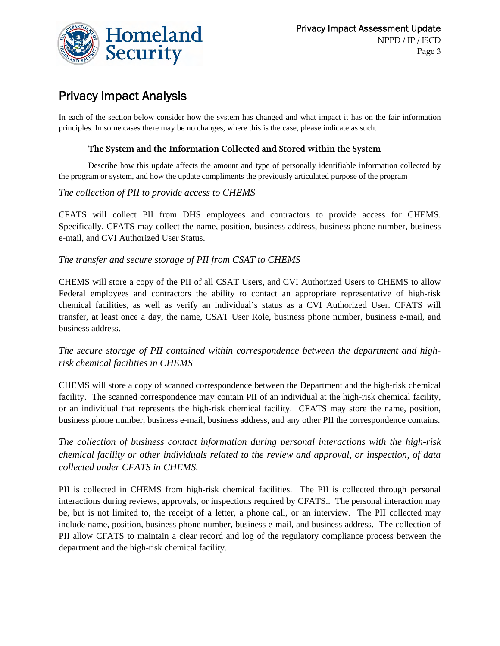

# Privacy Impact Analysis

In each of the section below consider how the system has changed and what impact it has on the fair information principles. In some cases there may be no changes, where this is the case, please indicate as such.

#### **The System and the Information Collected and Stored within the System**

Describe how this update affects the amount and type of personally identifiable information collected by the program or system, and how the update compliments the previously articulated purpose of the program

#### *The collection of PII to provide access to CHEMS*

CFATS will collect PII from DHS employees and contractors to provide access for CHEMS. Specifically, CFATS may collect the name, position, business address, business phone number, business e-mail, and CVI Authorized User Status.

#### *The transfer and secure storage of PII from CSAT to CHEMS*

CHEMS will store a copy of the PII of all CSAT Users, and CVI Authorized Users to CHEMS to allow Federal employees and contractors the ability to contact an appropriate representative of high-risk chemical facilities, as well as verify an individual's status as a CVI Authorized User. CFATS will transfer, at least once a day, the name, CSAT User Role, business phone number, business e-mail, and business address.

#### *The secure storage of PII contained within correspondence between the department and highrisk chemical facilities in CHEMS*

CHEMS will store a copy of scanned correspondence between the Department and the high-risk chemical facility. The scanned correspondence may contain PII of an individual at the high-risk chemical facility, or an individual that represents the high-risk chemical facility. CFATS may store the name, position, business phone number, business e-mail, business address, and any other PII the correspondence contains.

*The collection of business contact information during personal interactions with the high-risk chemical facility or other individuals related to the review and approval, or inspection, of data collected under CFATS in CHEMS.* 

PII is collected in CHEMS from high-risk chemical facilities. The PII is collected through personal interactions during reviews, approvals, or inspections required by CFATS.. The personal interaction may be, but is not limited to, the receipt of a letter, a phone call, or an interview. The PII collected may include name, position, business phone number, business e-mail, and business address. The collection of PII allow CFATS to maintain a clear record and log of the regulatory compliance process between the department and the high-risk chemical facility.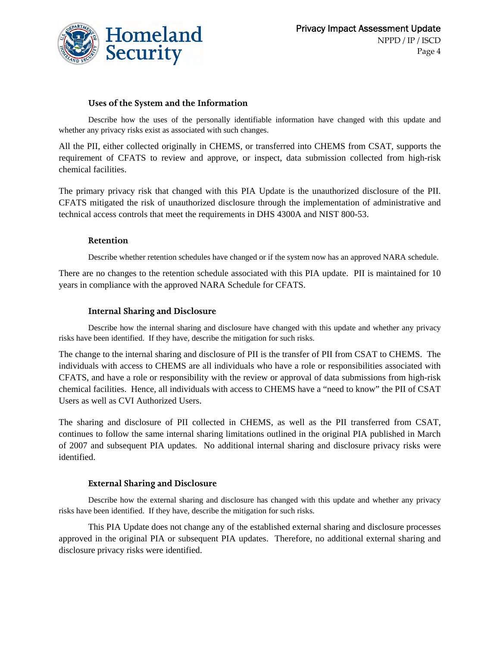

#### **Uses of the System and the Information**

Describe how the uses of the personally identifiable information have changed with this update and whether any privacy risks exist as associated with such changes.

All the PII, either collected originally in CHEMS, or transferred into CHEMS from CSAT, supports the requirement of CFATS to review and approve, or inspect, data submission collected from high-risk chemical facilities.

The primary privacy risk that changed with this PIA Update is the unauthorized disclosure of the PII. CFATS mitigated the risk of unauthorized disclosure through the implementation of administrative and technical access controls that meet the requirements in DHS 4300A and NIST 800-53.

#### **Retention**

Describe whether retention schedules have changed or if the system now has an approved NARA schedule.

There are no changes to the retention schedule associated with this PIA update. PII is maintained for 10 years in compliance with the approved NARA Schedule for CFATS.

#### **Internal Sharing and Disclosure**

Describe how the internal sharing and disclosure have changed with this update and whether any privacy risks have been identified. If they have, describe the mitigation for such risks.

The change to the internal sharing and disclosure of PII is the transfer of PII from CSAT to CHEMS. The individuals with access to CHEMS are all individuals who have a role or responsibilities associated with CFATS, and have a role or responsibility with the review or approval of data submissions from high-risk chemical facilities. Hence, all individuals with access to CHEMS have a "need to know" the PII of CSAT Users as well as CVI Authorized Users.

The sharing and disclosure of PII collected in CHEMS, as well as the PII transferred from CSAT, continues to follow the same internal sharing limitations outlined in the original PIA published in March of 2007 and subsequent PIA updates. No additional internal sharing and disclosure privacy risks were identified.

#### **External Sharing and Disclosure**

Describe how the external sharing and disclosure has changed with this update and whether any privacy risks have been identified. If they have, describe the mitigation for such risks.

This PIA Update does not change any of the established external sharing and disclosure processes approved in the original PIA or subsequent PIA updates. Therefore, no additional external sharing and disclosure privacy risks were identified.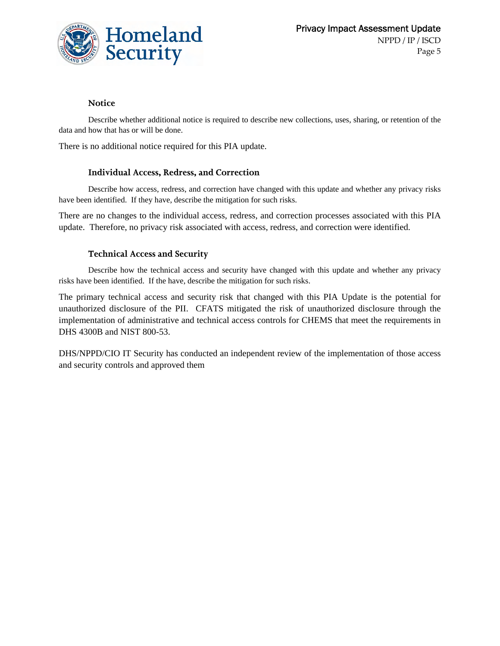

#### **Notice**

Describe whether additional notice is required to describe new collections, uses, sharing, or retention of the data and how that has or will be done.

There is no additional notice required for this PIA update.

#### **Individual Access, Redress, and Correction**

Describe how access, redress, and correction have changed with this update and whether any privacy risks have been identified. If they have, describe the mitigation for such risks.

There are no changes to the individual access, redress, and correction processes associated with this PIA update. Therefore, no privacy risk associated with access, redress, and correction were identified.

#### **Technical Access and Security**

Describe how the technical access and security have changed with this update and whether any privacy risks have been identified. If the have, describe the mitigation for such risks.

The primary technical access and security risk that changed with this PIA Update is the potential for unauthorized disclosure of the PII. CFATS mitigated the risk of unauthorized disclosure through the implementation of administrative and technical access controls for CHEMS that meet the requirements in DHS 4300B and NIST 800-53.

DHS/NPPD/CIO IT Security has conducted an independent review of the implementation of those access and security controls and approved them